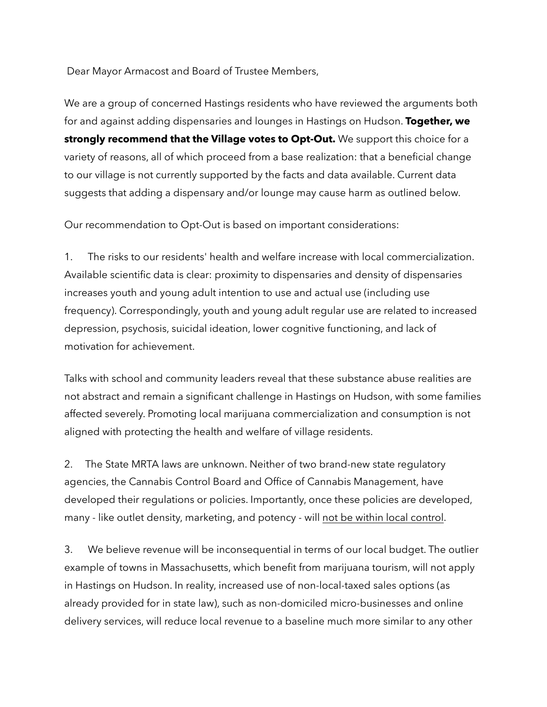Dear Mayor Armacost and Board of Trustee Members,

We are a group of concerned Hastings residents who have reviewed the arguments both for and against adding dispensaries and lounges in Hastings on Hudson. **Together, we strongly recommend that the Village votes to Opt-Out.** We support this choice for a variety of reasons, all of which proceed from a base realization: that a beneficial change to our village is not currently supported by the facts and data available. Current data suggests that adding a dispensary and/or lounge may cause harm as outlined below.

Our recommendation to Opt-Out is based on important considerations:

1. The risks to our residents' health and welfare increase with local commercialization. Available scientific data is clear: proximity to dispensaries and density of dispensaries increases youth and young adult intention to use and actual use (including use frequency). Correspondingly, youth and young adult regular use are related to increased depression, psychosis, suicidal ideation, lower cognitive functioning, and lack of motivation for achievement.

Talks with school and community leaders reveal that these substance abuse realities are not abstract and remain a significant challenge in Hastings on Hudson, with some families affected severely. Promoting local marijuana commercialization and consumption is not aligned with protecting the health and welfare of village residents.

2. The State MRTA laws are unknown. Neither of two brand-new state regulatory agencies, the Cannabis Control Board and Office of Cannabis Management, have developed their regulations or policies. Importantly, once these policies are developed, many - like outlet density, marketing, and potency - will not be within local control.

3. We believe revenue will be inconsequential in terms of our local budget. The outlier example of towns in Massachusetts, which benefit from marijuana tourism, will not apply in Hastings on Hudson. In reality, increased use of non-local-taxed sales options (as already provided for in state law), such as non-domiciled micro-businesses and online delivery services, will reduce local revenue to a baseline much more similar to any other